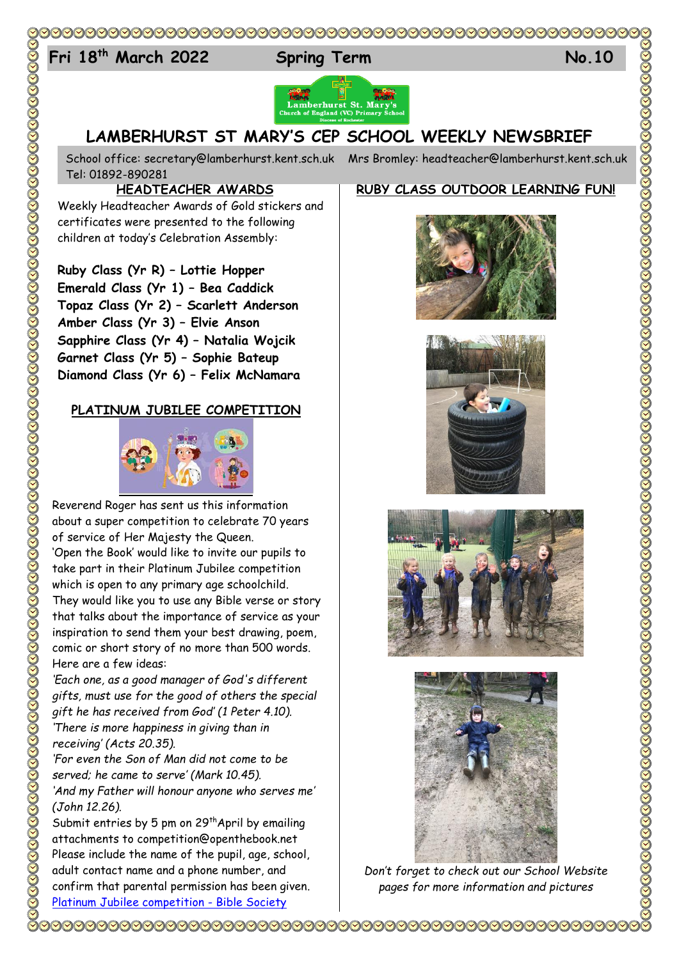## 

# 24 **Fri 18 th March 2022 Spring Term No.10**



## **LAMBERHURST ST MARY'S CEP SCHOOL WEEKLY NEWSBRIEF**

School office: [secretary@lamberhurst.kent.sch.uk](mailto:secretary@lamberhurst.kent.sch.uk) Mrs Bromley: headteacher@lamberhurst.kent.sch.uk Tel: 01892-890281

### **HEADTEACHER AWARDS**

Weekly Headteacher Awards of Gold stickers and certificates were presented to the following children at today's Celebration Assembly:

#### **Ruby Class (Yr R) – Lottie Hopper Emerald Class (Yr 1) – Bea Caddick**

**Topaz Class (Yr 2) – Scarlett Anderson Amber Class (Yr 3) – Elvie Anson Sapphire Class (Yr 4) – Natalia Wojcik Garnet Class (Yr 5) – Sophie Bateup Diamond Class (Yr 6) – Felix McNamara**

### **PLATINUM JUBILEE COMPETITION**



Reverend Roger has sent us this information about a super competition to celebrate 70 years of service of Her Majesty the Queen. 'Open the Book' would like to invite our pupils to take part in their Platinum Jubilee competition which is open to any primary age schoolchild. They would like you to use any Bible verse or story that talks about the importance of service as your inspiration to send them your best drawing, poem, comic or short story of no more than 500 words. Here are a few ideas:

*'Each one, as a good manager of God's different gifts, must use for the good of others the special gift he has received from God' (1 Peter 4.10). 'There is more happiness in giving than in receiving' (Acts 20.35).*

*'For even the Son of Man did not come to be served; he came to serve' (Mark 10.45). 'And my Father will honour anyone who serves me' (John 12.26).*

Submit entries by 5 pm on  $29<sup>th</sup>$ April by emailing attachments to competition@openthebook.net Please include the name of the pupil, age, school, adult contact name and a phone number, and confirm that parental permission has been given. [Platinum Jubilee competition -](https://www.biblesociety.org.uk/get-involved/open-the-book/platinum-jubilee-competition/?source_code=100533_s2t1&utm_medium=email&utm_campaign=2022-03-03%20-%20Newsletter%20-%20Bible%20work%20in%20Ukraine%20continues&utm_content=2022-03-03%20-%20Newsletter%20-%20Bible%20work%20in%20Ukraine%20continues+CID_18211454272728928c115f81467a19e6&utm_source=Campaign%20Monitor&utm_term=Primary%20school%20poets%20and%20cartoonists) Bible Society

### **RUBY CLASS OUTDOOR LEARNING FUN!**









*Don't forget to check out our School Website pages for more information and pictures*